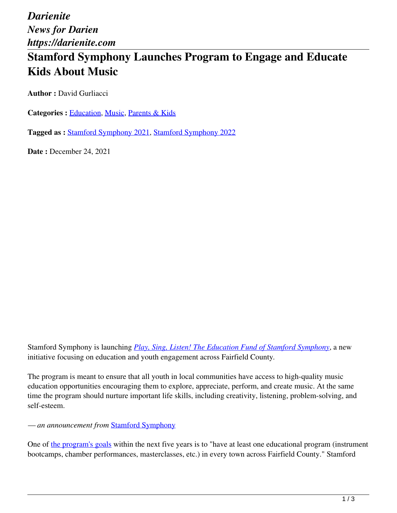*Darienite News for Darien https://darienite.com*

# **Stamford Symphony Launches Program to Engage and Educate Kids About Music**

**Author :** David Gurliacci

**Categories :** [Education,](https://darienite.com/category/news/education) Music, Parents & Kids

**Tagged as :** Stamford Symphony 2021, Stamford Symphony 2022

**Date : December 24, 2021** 

Stamford Symphony is launching *Play, Sing, Listen! The Education Fund of Stamford Symphony*, a new initiative focusing on education and youth engagement across Fairfield County*.* 

The program is meant to ensure that all youth in local communities have access to high-quality music education opportunities encouraging them to explore, appreciate, perform, and create music. At the same time the program should nurture important life skills, including creativity, listening, problem-solving, and self-esteem.

*— an announcement from* Stamford Symphony

One of the program's goals within the next five years is to "have at least one educational program (instrument bootcamps, chamber performances, masterclasses, etc.) in every town across Fairfield County." Stamford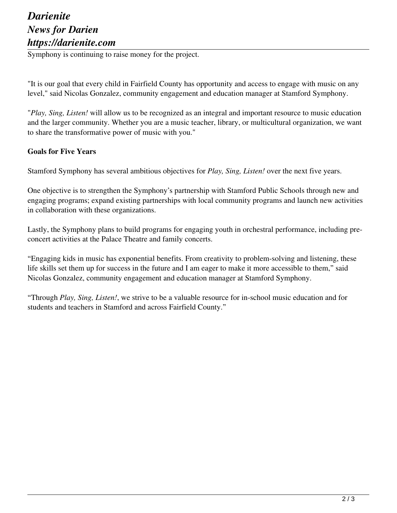# *Darienite News for Darien https://darienite.com*

Symphony is continuing to raise money for the project.

"It is our goal that every child in Fairfield County has opportunity and access to engage with music on any level," said Nicolas Gonzalez, community engagement and education manager at Stamford Symphony.

"*Play, Sing, Listen!* will allow us to be recognized as an integral and important resource to music education and the larger community. Whether you are a music teacher, library, or multicultural organization, we want to share the transformative power of music with you."

#### **Goals for Five Years**

Stamford Symphony has several ambitious objectives for *Play, Sing, Listen!* over the next five years.

One objective is to strengthen the Symphony's partnership with Stamford Public Schools through new and engaging programs; expand existing partnerships with local community programs and launch new activities in collaboration with these organizations.

Lastly, the Symphony plans to build programs for engaging youth in orchestral performance, including preconcert activities at the Palace Theatre and family concerts.

"Engaging kids in music has exponential benefits. From creativity to problem-solving and listening, these life skills set them up for success in the future and I am eager to make it more accessible to them," said Nicolas Gonzalez, community engagement and education manager at Stamford Symphony.

"Through *Play, Sing, Listen!*, we strive to be a valuable resource for in-school music education and for students and teachers in Stamford and across Fairfield County."